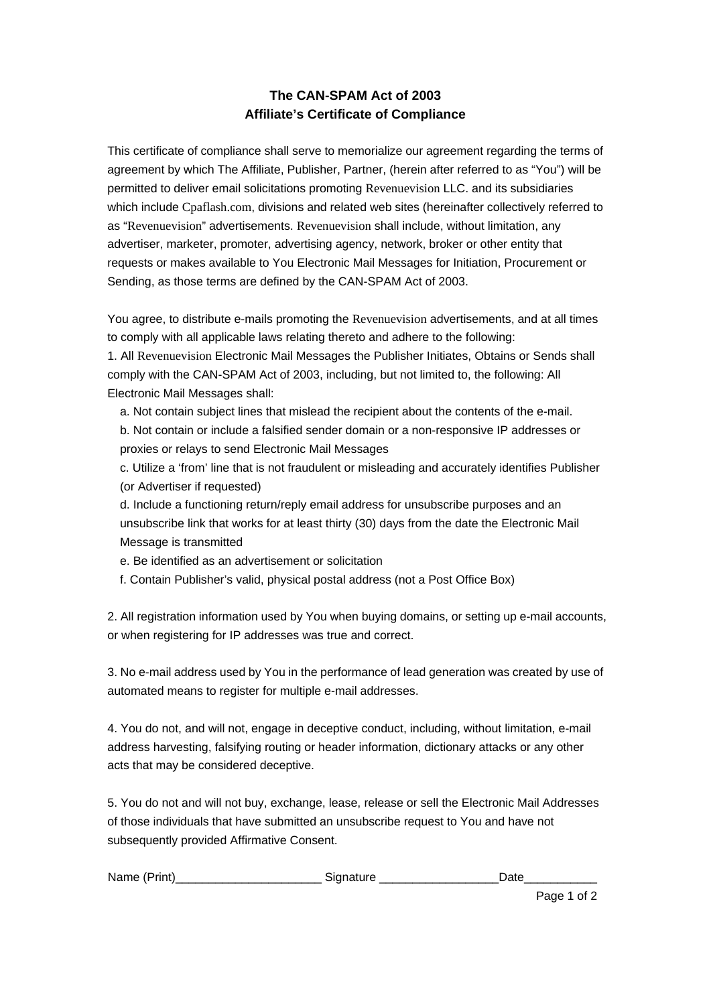## **The CAN-SPAM Act of 2003 Affiliate's Certificate of Compliance**

This certificate of compliance shall serve to memorialize our agreement regarding the terms of agreement by which The Affiliate, Publisher, Partner, (herein after referred to as "You") will be permitted to deliver email solicitations promoting Revenuevision LLC. and its subsidiaries which include Cpaflash.com, divisions and related web sites (hereinafter collectively referred to as "Revenuevision" advertisements. Revenuevision shall include, without limitation, any advertiser, marketer, promoter, advertising agency, network, broker or other entity that requests or makes available to You Electronic Mail Messages for Initiation, Procurement or Sending, as those terms are defined by the CAN-SPAM Act of 2003.

You agree, to distribute e-mails promoting the Revenuevision advertisements, and at all times to comply with all applicable laws relating thereto and adhere to the following: 1. All Revenuevision Electronic Mail Messages the Publisher Initiates, Obtains or Sends shall comply with the CAN-SPAM Act of 2003, including, but not limited to, the following: All Electronic Mail Messages shall:

a. Not contain subject lines that mislead the recipient about the contents of the e-mail. b. Not contain or include a falsified sender domain or a non-responsive IP addresses or proxies or relays to send Electronic Mail Messages

c. Utilize a 'from' line that is not fraudulent or misleading and accurately identifies Publisher (or Advertiser if requested)

d. Include a functioning return/reply email address for unsubscribe purposes and an unsubscribe link that works for at least thirty (30) days from the date the Electronic Mail Message is transmitted

e. Be identified as an advertisement or solicitation

f. Contain Publisher's valid, physical postal address (not a Post Office Box)

2. All registration information used by You when buying domains, or setting up e-mail accounts, or when registering for IP addresses was true and correct.

3. No e-mail address used by You in the performance of lead generation was created by use of automated means to register for multiple e-mail addresses.

4. You do not, and will not, engage in deceptive conduct, including, without limitation, e-mail address harvesting, falsifying routing or header information, dictionary attacks or any other acts that may be considered deceptive.

5. You do not and will not buy, exchange, lease, release or sell the Electronic Mail Addresses of those individuals that have submitted an unsubscribe request to You and have not subsequently provided Affirmative Consent.

| Name<br>$1 - 1 - 1$<br>rını | .<br>יר |  |
|-----------------------------|---------|--|
|-----------------------------|---------|--|